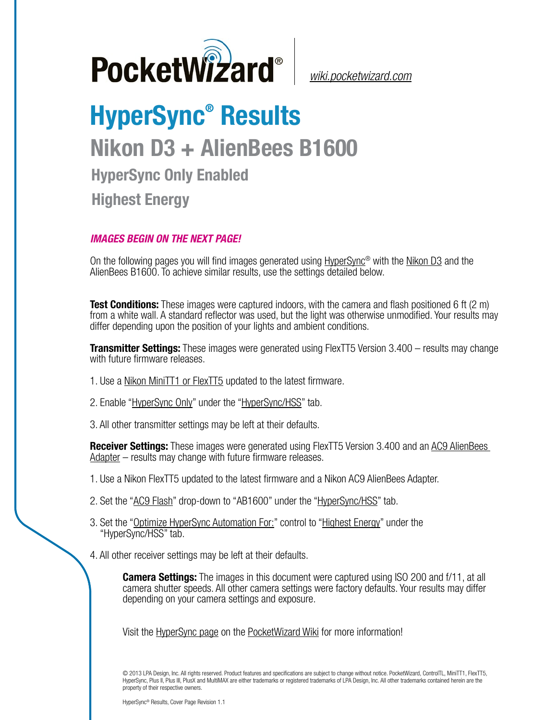

*[wiki.pocketwizard.com](http://wiki.pocketwizard.com/)*

## **HyperSync® Results Nikon D3 + AlienBees B1600 HyperSync Only Enabled Highest Energy**

## *IMAGES BEGIN ON THE NEXT PAGE!*

On the following pages you will find images generated using [HyperSync](http://wiki.pocketwizard.com/index.php?title=Hypersync)® with the [Nikon D3](http://wiki.pocketwizard.com/index.php?title=Nikon_D3) and the AlienBees B1600. To achieve similar results, use the settings detailed below.

**Test Conditions:** These images were captured indoors, with the camera and flash positioned 6 ft (2 m) from a white wall. A standard reflector was used, but the light was otherwise unmodified. Your results may differ depending upon the position of your lights and ambient conditions.

**Transmitter Settings:** These images were generated using FlexTT5 Version 3.400 – results may change with future firmware releases.

- 1. Use a [Nikon MiniTT1 or FlexTT5](http://wiki.pocketwizard.com/index.php?title=MiniTT1_and_FlexTT5) updated to the latest firmware.
- 2. Enable ["HyperSync Only"](http://wiki.pocketwizard.com/index.php?title=Hypersync_hss_tab#HyperSync_Only_.28Disable_HSS.2FFP.29) under the "[HyperSync/HSS"](http://wiki.pocketwizard.com/index.php?title=Hypersync_hss_tab) tab.
- 3. All other transmitter settings may be left at their defaults.

**Receiver Settings:** These images were generated using FlexTT5 Version 3.400 and an [AC9 AlienBees](http://wiki.pocketwizard.com/index.php?title=AC9_AlienBees_Adapter)  [Adapter](http://wiki.pocketwizard.com/index.php?title=AC9_AlienBees_Adapter) – results may change with future firmware releases.

- 1. Use a Nikon [FlexTT5](http://wiki.pocketwizard.com/index.php?title=Canon_MiniTT1_and_FlexTT5) updated to the latest firmware and a Nikon AC9 AlienBees Adapter.
- 2. Set the "[AC9 Flash](http://wiki.pocketwizard.com/index.php?title=HyperSync/HSS_Tab#AC9_Flash)" drop-down to "AB1600" under the ["HyperSync/HSS](http://wiki.pocketwizard.com/index.php?title=Hypersync_hss_tab)" tab.
- 3. Set the "[Optimize HyperSync Automation For:](http://wiki.pocketwizard.com/index.php?title=HyperSync/HSS_Tab#Optimize_HyperSync_Automation_For:)" control to ["Highest Energy"](http://wiki.pocketwizard.com/index.php?title=HyperSync/HSS_Tab#Optimize_HyperSync_Automation_For:) under the "HyperSync/HSS" tab.
- 4. All other receiver settings may be left at their defaults.

**Camera Settings:** The images in this document were captured using ISO 200 and f/11, at all camera shutter speeds. All other camera settings were factory defaults. Your results may differ depending on your camera settings and exposure.

Visit the [HyperSync page](http://wiki.pocketwizard.com/index.php?title=Hypersync) on the [PocketWizard Wiki](http://wiki.pocketwizard.com/) for more information!

© 2013 LPA Design, Inc. All rights reserved. Product features and specifications are subject to change without notice. PocketWizard, ControlTL, MiniTT1, FlexTT5, HyperSync, Plus II, Plus III, PlusX and MultiMAX are either trademarks or registered trademarks of LPA Design, Inc. All other trademarks contained herein are the property of their respective owners.

HyperSync® Results, Cover Page Revision 1.1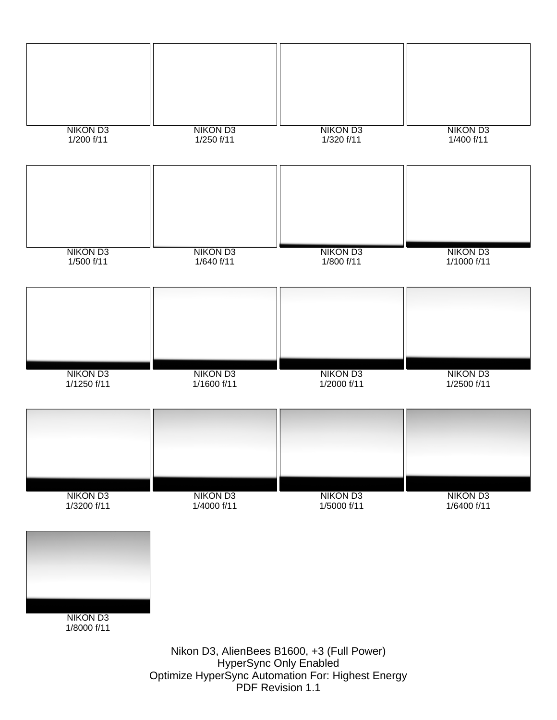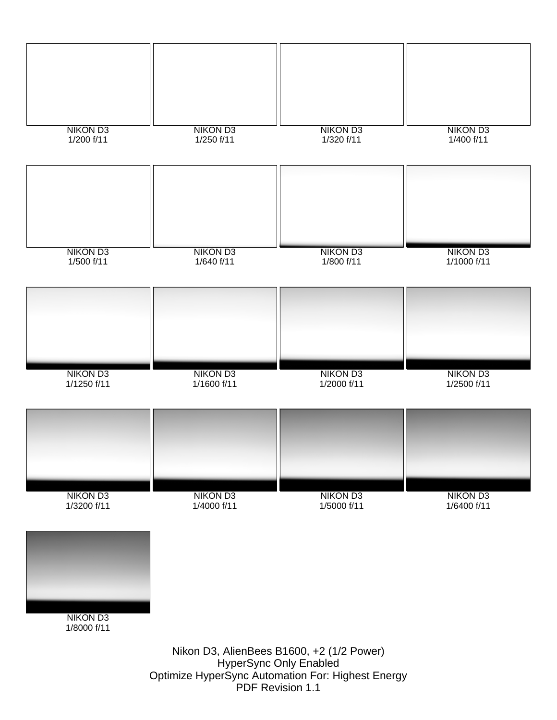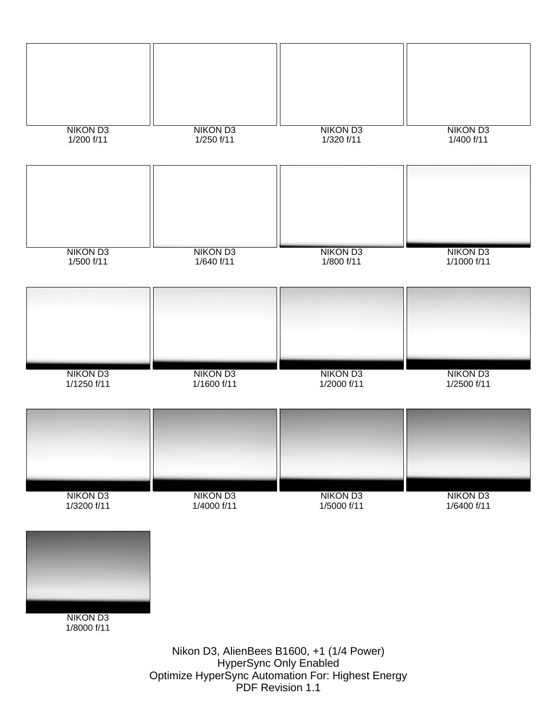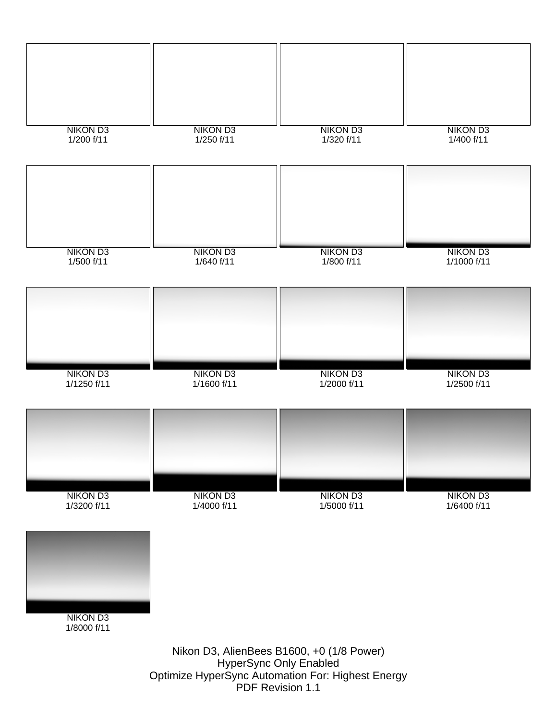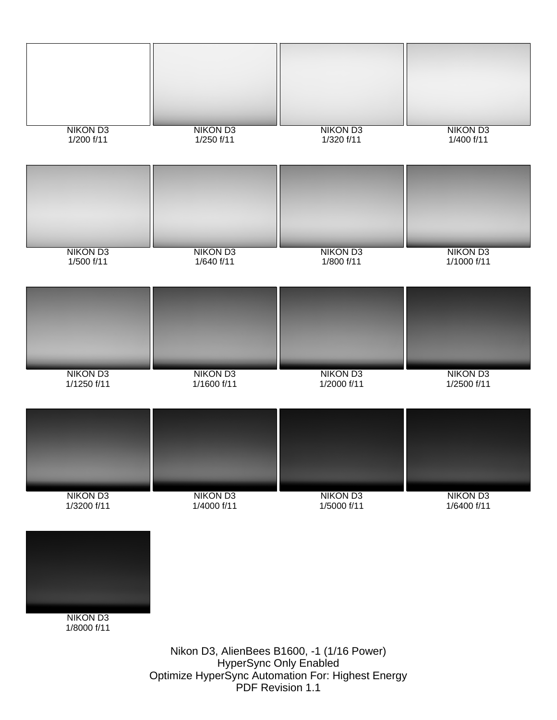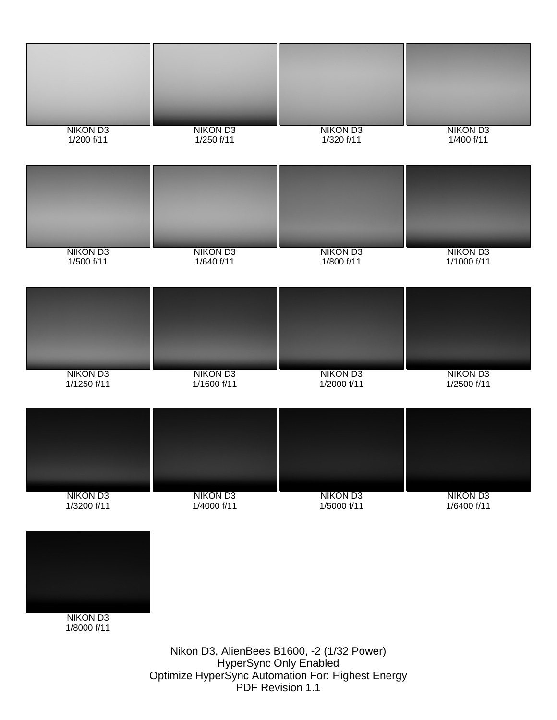